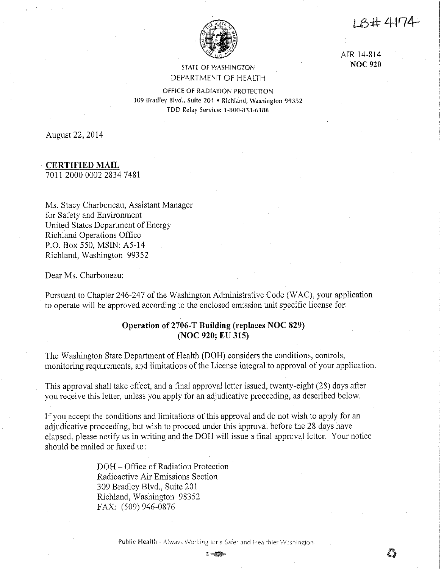LB#4174



AIR 14-814 **NOC 920** 

# STATE OF WASHINGTON DEPARTMENT OF HEALTH

OFFICE Of RADIATION PROTECTION 309 Bradley Blvd., Suite 201 • Richland, Washington 99352 TDD Relay Service: 1-800-83.3-6388

August 22, 2014

# **CERTIFIED MAIL**

701120000002 2834 7481

Ms. Stacy Charboneau, Assistant Manager for Safety and Environment United States Department of Energy Richland Operations Office P.O. Box 550, MSIN: AS-14 Richland, Washington 99352

Dear Ms. Charboneau:

Pursuant to Chapter 246-247 of the Washington Administrative Code (WAC), your application to operate will be approved according to the enclosed emission unit specific license for:

# **Operation of2706-T Building (replaces NOC 829) (NOC 920; EU 315)**

The Washington State Department of Health (DOH) considers the conditions, controls, monitoring requirements, and limitations of the License integral to approval of your application.

This approval shall take effect, and a final approval letter issued, twenty-eight (28) days after you receive this letter, unless you apply for an adjudicative proceeding, as described below.

If you accept the conditions and limitations of this approval and do not wish to apply for an adjudicative proceeding, but wish to proceed under this approval before the 28 days have elapsed, please notify us in writing and the DOH will issue a final approval letter. Your notice should be mailed or faxed to:

> DOH - Office of Radiation Protection Radioactive Air Emissions Section 309 Bradley Blvd., Suite 201 Richland, Washington 98352 FAX: (509) 946-0876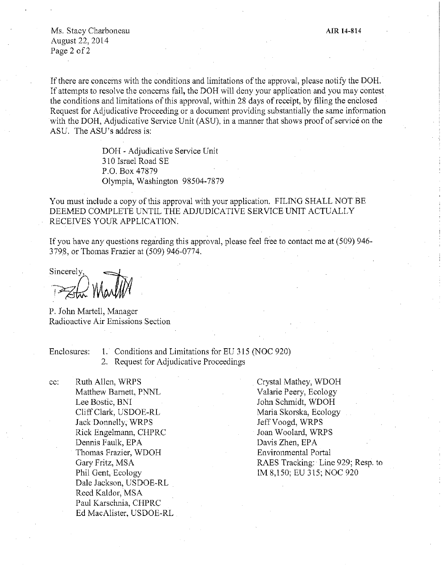Ms. Stacy Charboneau August 22, 20 l 4 Page 2 of 2

If there are concerns with the conditions and limitations of the approval, please notify the DOH. If attempts to resolve the concerns fail, the DOH will deny your application and you may contest the conditions and limitations of this approval, within 28 days of receipt, by filing the enclosed Request for Adjudicative Proceeding or a document providing substantially the same information with the DOH, Adjudicative Service Unit (ASU), in a manner that shows proof of service on the ASU. The ASU's address is:

> DOH - Adjudicative Service Unit 310 Israel Road SE P.O. Box 47879 Olympia, Washington 98504-7879

You must include a copy of this approval with your application. FILING SHALL NOT BE DEEMED COMPLETE UNTIL THE ADJUDICATIVE SERVICE UNIT ACTUALLY RECEIVES YOUR APPLICATION.

If you have any questions regarding this approval, please feel free to contact me at ( 509) 946- 3798, or Thomas Frazier at (509) 946-0774.

Sincerely, **WarthW** 

P. John Martell, Manager Radioactive Air Emissions Section

Enclosures: 1. Conditions and Limitations for EU 315 (NOC 920) 2. Request for Adjudicative Proceedings

cc: Ruth Allen, WRPS Matthew Barnett, PNNL Lee Bostic, BNI Cliff Clark, USDOE-RL Jack Donnelly, WRPS Rick Engelmann, CHPRC Dennis Faulk, EPA Thomas Frazier, WDOH Gary Fritz, MSA Phil Gent, Ecology Dale Jackson, USDOE-RL Reed Kaldor, MSA Paul Karschnia, CHPRC Ed MacAlister, USDOE-RL

Crystal Mathey, WDOH Valarie Peery, Ecology John Schmidt, WDOH Maria Skorska, Ecology Jeff Voogd, WRPS Joan Woolard, WRPS Davis Zhen, EPA Enviromnental Portal RAES Tracking: Line 929; Resp. to IM 8,150; EU 3 l5; NOC 920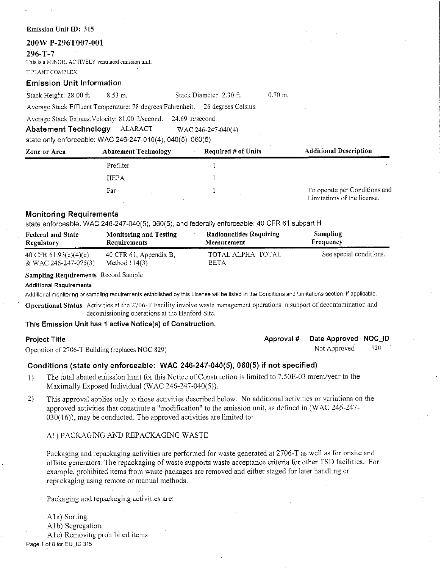#### **Emission Unit ID: 315**

# **200W P-296T007-00l**

## **296-T-7**

This is a MINOR, ACTIVELY ventilated emission unit.

T PLANT COMPLEX

## **Emission Unit Information**

Stack Height: 28.00 ft. 8.53 m. Stack Diameter 2.30 ft.

0.70 m.

Average Stack Effluent Temperature: 78 degrees Fahrenheit. 26 degrees Celsius.

Average Stack Exhaust Velocity: 81.00 ft/second. 24.69 m/second.

**Abatement Technology** ALARACT WAC 246-247-040(4)

state only enforceable: WAC 246-247-010(4), 040(5), 060(5)

| Zone or Area | <b>Abatement Technology</b> | Required # of Units | <b>Additional Description</b>                                |
|--------------|-----------------------------|---------------------|--------------------------------------------------------------|
|              | Prefilter                   |                     |                                                              |
|              | HEPA                        |                     |                                                              |
|              | Fan                         |                     | To operate per Conditions and<br>Limitations of the license. |

# **Monitoring Requirements**

state enforceable: WAC 246-247-040(5), 060(5), and federally enforceable: 40 CFR 61 subpart H

| <b>Federal and State</b> | <b>Monitoring and Testing</b> | Radionuclides Requiring | <b>Sampling</b>         |
|--------------------------|-------------------------------|-------------------------|-------------------------|
| Regulatory               | Requirements                  | Measurement             | Frequency               |
| 40 CFR $61.93(c)(4)(e)$  | 40 CFR 61, Appendix B,        | TOTAL ALPHA TOTAL       | See special conditions. |
| & WAC 246-247-075(3)     | Method $114(3)$               | <b>BETA</b>             |                         |

## **Sampling Requirements** Record Sample

**Additional Requirements** 

Additional monitoring or sampling requirements established by this License will be listed in the Conditions and Limitations section, if applicable.

**Operational Status** Activities at the 2706-T Facility involve waste management operations in support of decontamination and decomissioning operations at the Hanford Site.

## **This Emission Unit has 1 active Notice(s) of Construction.**

Operation of 2706-T Building (replaces NOC 829) Not Approved

**Project Title Approval# Date Approved NOC\_ID**  920

# **Conditions (state only enforceable: WAC 246-247-040(5), 060(5) if not specified)**

- 1) The total abated emission limit for this Notice of Construction is limited to 7.50E-03 mrem/year to the Maximally Exposed Individual (WAC 246-247-040(5)).
- 2) This approval applies only to those activities described below. No additional activities or variations on the approved activities that constitute a "modification" to the emission unit, as defined in (WAC 246-247-030(16)), may be conducted. The approved activities are limited to:

# Al) PACKAGING AND REPACKAGING WASTE

Packaging and repackaging activities are performed for waste generated at 2706-T as well as for onsite and offsite generators. The repackaging of waste supports waste acceptance criteria for other TSD facilities. For example, prohibited items from waste packages are removed and either staged for later handling or repackaging using remote or manual methods.

Packaging and repackaging activities are:

Ala) Sorting.

A<sub>1</sub>b) Segregation.

Ale) Removing prohibited items.

Page 1 of 8 for EU\_ID 315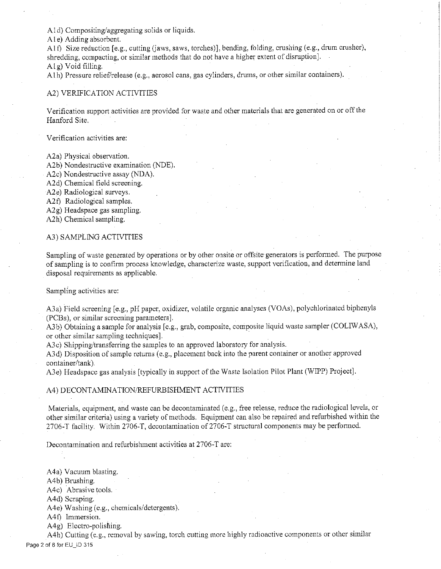Ald) Compositing/aggregating solids or liquids.

Ale) Adding absorbent.

Alf) Size reduction  $[e.g.,$  cutting  $(iaws, saws,$  torches)], bending, folding, crushing  $(e.g.,$  drum crusher), shredding, compacting, or similar methods that do not have a higher extent of disrnption]. Al g) Void filling.

Alh) Pressure relief/release (e.g., aerosol cans, gas cylinders, drums, or other similar containers).

### A2) VERIFICATION ACTIVITIES

Verification support activities are provided for waste and other materials that are generated on or off the Hanford Site.

Verification activities are:

A2a) Physical observation.

A2b) Nondestructive examination (NDE).

A2c) Nondestructive assay (NDA).

A2d) Chemical field screening.

A2e) Radiological surveys.

A2f) Radiological samples.

A2g) Headspace gas sampling.

A2h) Chemical sampling.

### A3) SAMPLING ACTIVITIES

Sampling of waste generated by operations or by other onsite or offsite generators is perfonned. The purpose of sampling is to confinn process knowledge, characterize waste, support verification, and detennine land disposal requirements as applicable.

Sampling activities are:

A3a) Field screening [e.g., pH paper, oxidizer, volatile organic analyses (VOAs), polychlorinated biphenyls (PCBs), or similar screening parameters].

A3b) Obtaining a sample for analysis [e.g., grab, composite, composite liquid waste sampler (COLIWASA), or other similar sampling techniques].

A3c) Shipping/transferring the samples to an approved laboratory for analysis.

A3d) Disposition of sample returns (e.g., placement back into the parent container or another approved container/tank).

A3e) Headspace gas analysis [typically in support of the Waste Isolation Pilot Plant (WIPP) Project].

# A4) DECONTAMINATION/REFURBISHMENT ACTIVITIES

Materials, equipment, and waste can be decontaminated (e.g., free release, reduce the radiological levels, or other similar criteria) using a variety of methods. Equipment can also be repaired and refurbished within the 2706-T facility. Within 2706-T, decontamination of2706-T strnctural components may be perfonned.

Decontamination and refurbishment activities at 2706-T are:

A4a) Vacuum blasting.

A4b) Brushing.

A4c) Abrasive tools.

A4d) Scraping.

A4e) Washing (e.g., chemicals/detergents).

A4f) Immersion.

A4g) Electro-polishing.

A4h) Cutting (e.g., removal by sawing, torch cutting more highly radioactive components or other similar Page 2 of 8 for EU ID 315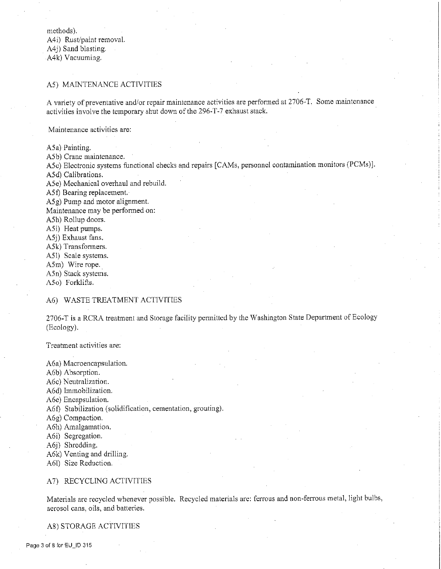methods). A4i) Rust/paint removal. A4j) Sand blasting. A4k) Vacuuming.

AS) MAINTENANCE ACTIVITIES

A variety of preventative and/or repair maintenance activities are perfonned at 2706-T, Some maintenance activities involve the temporary shut down of the 296-T-7 exhaust stack.

**Maintenance activities are:** 

ASa) Painting.

ASb) Crane maintenance.

ASc) Electronic systems functional checks and repairs [CAMs, personnel contamination monitors (PCMs)].

ASd) Calibrations.

A5e) Mechanical overhaul and rebuild.

A5f) Bearing replacement.

A5g) Pump and motor alignment.

Maintenance may be performed on:

ASh) Rollup doors.

ASi) Heat pumps.

ASj) Exhaust fans.

ASk) Transformers.

ASl) Scale systems.

ASm) Wire rope.

A5n) Stack systems.

ASo) Forklifts.

# A6) WASTE TREATMENT ACTIVITIES

2706-T is a RCRA treatment and Storage facility pennitted by the Washington State Department of Ecology (Ecology).

Treatment activities are:

A6a) Macroencapsulation.

A6b) Absorption.

A6c) Neutralization.

A6d) Immobilization.

A6e) Encapsulation.

A6f) Stabilization (solidification, cementation, grouting).

A6g) Compaction.

A6h) Amalgamation.

A6i) Segregation.

A6j) Shredding.

A6k) Venting and drilling.

A61) Size Reduction.

# A7) RECYCLING ACTIVITIES

Materials are recycled whenever possible. Recycled materials are: ferrous and non-ferrous metal, light bulbs, aerosol cans, oils, and batteries.

## A8) STORAGE ACTIVITIES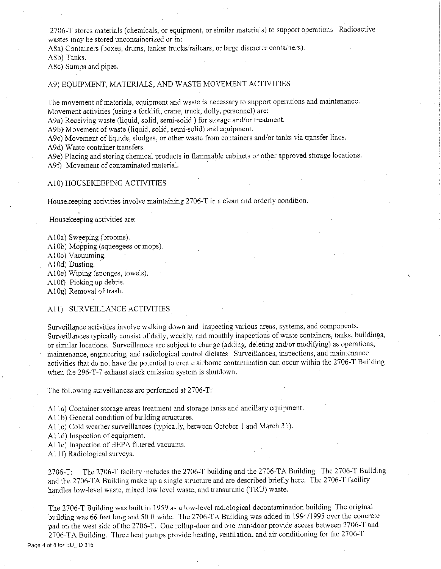2706-T stores materials (chemicals, or equipment, or similar materials) to support operations. Radioactive **wastes may be stored uncontainerized or in:** 

A8a) Containers (boxes, drums, tanker trucks/railcars, or large diameter containers).

A8b) Tanks.

A8c) Sumps and pipes.

### A9) EQUIPMENT, MATERIALS, AND WASTE MOVEMENT ACTIVITIES

The movement of materials, equipment and waste is necessary to support operations and maintenance. Movement activities (using a forklift, crane, truck, dolly, personnel) are:

A9a) Receiving waste (liquid, solid, semi-solid) for storage and/or treatment.

A9b} Movement of waste (liquid, solid, semi-solid) and equipment.

A9c) Movement of liquids, sludges, or other waste from containers and/or tanks via transfer lines.

A9d) Waste container transfers.

A9e) Placing and storing chemical products in flammable cabinets or other approved storage locations.

A9f) Movement of contaminated material.

Al0) HOUSEKEEPING ACTIVITIES

Housekeeping activities involve maintaining 2706-T in a clean and orderly condition.

Housekeeping activities are:

- A<sub>10</sub>a) Sweeping (brooms).
- Al Ob) Mopping (squeegees or mops).

A!0c) Vacuuming.

A<sub>1</sub>0d) Dusting.

Al0e) Wiping (sponges, towels).

A!0f) Picking up debris.

Al 0g) Removal of trash.

## A11) SURVEILLANCE ACTIVITIES

Surveillance activities involve walking down and inspecting various areas, systems, and components. Surveillances typically consist of daily, weekly, and monthly inspections of waste containers, tanks, buildings, or similar locations. Surveillances are subject to change (adding, deleting and/or modifying) as operations, **maintenance, engineering, and radiological control dictates. Surveillances, inspections, and maintenance**  activities that do not have the potential to create airborne contamination can occur within the 2706-T Building when the 296-T-7 exhaust stack emission system is shutdown.

The following surveillances are performed at 2706-T:

Al la) Container storage areas treatment and storage tanis and ancillary equipment.

Al lb) General condition of building structures.

Al le) Cold weather surveillances (typically, between October 1 and March 31).

Al ld) Inspection of equipment.

Al le) Inspection of HEPA filtered vacuums.

Al 1f) Radiological surveys.

2706-T: The 2706-T facility includes the 2706-T building and the 2706-TA Building. The 2706-T Building and the 2706-TA Building make up a single structure and are described briefly here. The 2706-T facility handles low-level waste, mixed low level waste, and transuranic (TRU) waste.

The 2706-T Building was built in 1959 as a low-level radiological decontamination building. The original building was 66 feet long and 50 ft wide. The 2706-TA Building was added in 1994/1995 over the concrete pad on the west side of the 2706-T. One rollup-door and one man-door provide access between 2706-T and 2706-TA Building. Three heat pumps provide heating, ventilation, and air conditioning for the 2706-T

**Page 4 of 8 for EU\_ID 315**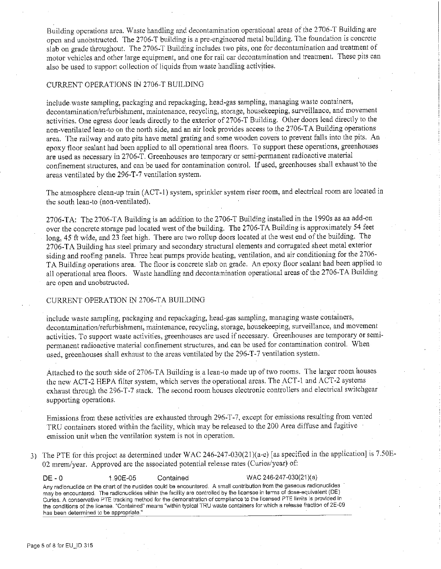Building operations area. Waste handling and decontamination operational areas of the 2706-T Building are open and unobstructed. The 2706-T building is a pre-engineered metal building. The foundation is concrete slab on grade throughout. The 2706-T Building includes two pits, one for decontamination and treatment of motor vehicles and other large equipment, and one for rail car decontamination and treatment. These pits can also be used to support collection of liquids from waste handling activities.

# CURRENT OPERATIONS IN 2706-T BUILDING

include, waste sampling, packaging and repackaging, head-gas sampling, managing waste containers, decontamination/refurbishment, maintenance, recycling, storage, housekeeping, surveillance, and movement activities. One egress door leads directly to the exterior of2706-T Building. Other doors lead directly to the non-ventilated lean-to on the north side, and an air lock provides access to the 2706-T A Building operations area. The railway and auto pits have metal grating and some wooden covers to prevent falls into the pits. An epoxy floor sealant had been applied to all operational area floors. To support these operations, greenhouses are used as necessary in 2706-T. Greenhouses are temporary or semi-permanent radioactive material confinement structures, and can be used for contamination control. If used, greenhouses shall exhaust to the areas ventilated by the 296-T-7 ventilation system.

The atmosphere clean-up train (ACT-1) system, sprinkler system riser room, and electrical room are located in the south lean-to (non-ventilated).

2706-TA: The 2706-T A Building is an addition to the 2706-T Building installed in the 1990s as an add-on over the concrete storage pad located west of the building. The 2706-TA Building is approximately 54 feet long, 45 ft wide, and 23 feet high. There are two rollup doors located at the west end of the building. The 2706-TA Building has steel primary and secondary structural elements and corrugated sheet metal exterior siding and roofing panels. Three heat pumps provide heating, ventilation, and air conditioning for the 2706- TA Building operations area. The floor is concrete slab on grade. An epoxy floor sealant had been applied to all operational area floors. Waste handling and decontamination operational areas of the 2706-TA Building **arc open and unobstructed.** 

# CURRENT OPERATION IN 2706-TA BUILDING

**include waste sampling, packaging and repackaging, head-gas sampling, managing waste containers, decontamination/refurbishment, maintenance, recycling, storage 1 housekeeping, surveillance, and movement**  activities. To support waste activities, greenhouses are used if necessary. Greenhouses are temporary or semipennanent radioactive material confinement structures, and can be used for contamination control. When used, greenhouses shall exhaust to the areas ventilated by the 296-T-7 ventilation system.

Attached to the south side of 2706-TA Building is a lean-to made up of two rooms. The larger room houses the new ACT-2 HEPA filter system, which serves the operational areas. The ACT-1 and ACT-2 systems exhaust through the 296-T-7 stack. The second room houses electronic controllers and electrical switchgear supporting operations.

Emissions from these activities are exhausted through 296-T-7, except for emissions resulting from vented TRU containers stored within the facility, which may be released to the 200 Area diffuse and fugitive emission unit when the ventilation system is not in operation.

3) The PTE for this project as determined under WAC 246-247-030(2l)(a-e) [as specified in the application] is 7.S0E-02 mrem/year. Approved are the associated potential release rates (Curies/year) of:

DE-0 1.90E-05 Contained WAC 246-247-030(21 )(a)

**Any radionuclide on the chart of the nuclides could be encountered. A small contribution from the gaseous radionuclides may be encountered. The radionuclides within the facility are controlled by the licensee in terms of dose-equivalent (DE) Curies. A conservative PTE tracking method for the demonstration of compliance to the licensed PTE limits is provided in the conditions of the license. "Contained" means "within typical TRU waste containers for which a release fraction of 2E-09 has been determined to be appropriate,"**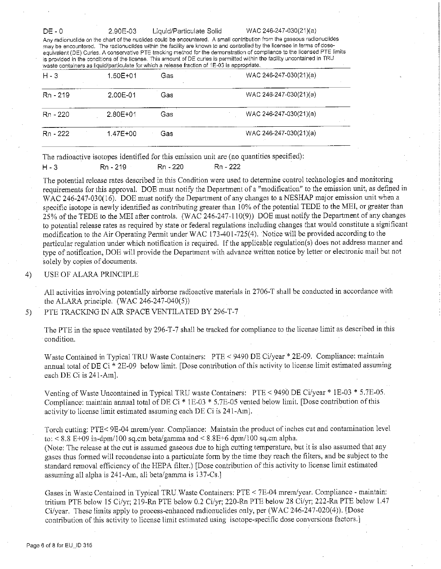DE-0 2.90E-03 Liquid/Particulate Solid WAC 246-247-030(21 )(a)

**Any radionuclide on the chart of the nuclides could be encountered. A small contribution from the gaseous radionuclides may be encountered. The radionuclides within the facility are known to and controlled by the licensee in terms ofdoseequivalent (DE) Curies. A conservative PTE tracking method for the demonstration of compliance to the licensed PTE limits is provided in the conditions of the license. This amount of DE curies is permitted within the facility uncontained in TRU**  waste containers as liquid/particulate for which a release fraction of 1E-03 is appropriate.

| $H - 3$    | 1.50E+01 | Gas | WAC 246-247-030(21)(a) |  |
|------------|----------|-----|------------------------|--|
| Rn - 219   | 2.00E-01 | Gas | WAC 246-247-030(21)(a) |  |
| $Rn - 220$ | 2.80E+01 | Gas | WAC 246-247-030(21)(a) |  |
| Rn - 222   | 1.47E+00 | Gas | WAC 246-247-030(21)(a) |  |

The radioactive isotopes identified for this emission unit are (no quantities specified):

|  | $H - 3$ | Rn - 219 | Rn - 220 | Rn - 222 |
|--|---------|----------|----------|----------|
|--|---------|----------|----------|----------|

The potential release rates described in this Condition were used to detennine control technologies and monitoring requirements for this approval. DOE must notify the Department of a "modification" to the emission unit, as defined in WAC 246-247-030(16). DOE must notify the Department of any changes to a NESHAP major emission unit when a specific isotope is newly identified as contributing greater than 10% of the potential TEDE to the MEI, or greater than 25% of the TEDE to the MEI after controls. (WAC 246-247-110(9)) DOE must notify the Department of any changes to potential release rates as required by state or federal regulations including changes that would constitute a significant modification to the Air Operating Pennit under WAC 173-401-725(4). Notice will be provided according to the particular regulation under which notification is required. If the applicable regulation(s) does not address manner and type of notification, DOE will provide the Department with advance written notice by letter or electronic mail but not solely by copies of documents.

## 4) USE OF ALARA PRINCIPLE

All activities involving potentially airborne radioactive materials in 2706-T shall be conducted in accordance with the ALARA principle. (WAC 246-247-040(5))

5) PTE TRACKING IN AIR SPACE VENTILATED BY 296-T-7

The PTE in the space ventilated by 296-T-7 shall be tracked for compliance to the license limit as described in this condition.

Waste Contained in Typical TRU Waste Containers: PTE < 9490 DE Ci/year \* 2E-09. Compliance: maintain annual total of DE Ci \* 2E-09 below limit. [Dose contribution of this activity to license limit estimated assuming each DE Ci is 241-Am].

Venting of Waste Uncontained in Typical TRU waste Containers: PTE < 9490 DE Ci/year \* 1E-03 \* 5.7E-05. Compliance: maintain annual total of DE Ci\* lE-03 \* 5.7E-05 vented below limit. [Dose contribution of this activity to license limit estimated assuming each DE Ci is 241-Am ].

Torch cutting: PTE< 9E-04 mrem/year. Compliance: Maintain the product of inches cut and contamination level to:  $< 8.8$  E+09 in-dpm/100 sq.cm beta/gamma and  $< 8.8E+6$  dpm/100 sq.cm alpha.

(Note: The release at the cut is assumed gaseous due to high cutting temperature, but it is also assumed that any gases thus formed will recondense into a particulate form by the time they reach the filters, and be subject to the standard removal efficiency of the HEPA filter.) [Dose contribution of this activity to license limit estimated assuming all alpha is 241-Am, all beta/gamma is 137-Cs.]

Gases in Waste Contained in Typical TRU.Waste Containers: PTE < 7E-04 mrem/year. Compliance - maintain: tritium PTE below 15 Ci/yr; 219-Rn PTE below 0.2 Ci/yr; 220-Rn PTE below 28 Ci/yr; 222-Rn PTE below 1.47 Ci/year. These limits apply to process-enhanced radionuclides only, per (WAC 246-247-020(4)). [Dose contribution of this activity to license limit estimated using isotope-specific dose conversions factors.]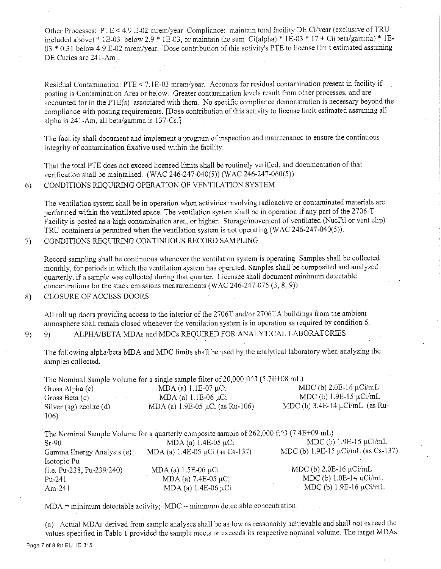Other Processes: PTE < 4.9 E-02 mrem/year. Compliance: maintain total facility DE Ci/year (exclusive ofTRU included above) \* 1E-03 below 2.9 \* 1E-03, or maintain the sum Ci(alpha) \* 1E-03 \* 17 + Ci(beta/gamma) \* 1E-03 \* 0.31 below 4.9 E-02 mrem/year. [Dose contribution of this activity's PTE to license limit estimated assuming DE Curies are 241-Aml.

Residual Contamination: PTE < 7.1 E-03 mrem/year. Accounts for residual contamination present in facility if posting is Contamination Area or below. Greater contamination levels result from other processes, and are accounted for in the PTE(s) associated with them. No specific compliance demonstration is necessary beyond the compliance with posting requirements. [Dose contribution of this activity to license limit estimated assuming all alpha is 241-Am, all beta/gamma is 137-Cs.]

The facility shall document and implement a program of inspection and maintenance to ensure the continuous integrity of contamination fixative used within the facility.

That the total PTE does not exceed licensed limits shall be routinely verified, and documentation of that verification shall be maintained. (WAC 246-247-040(5)) (WAC 246-247-060(5)) 6) CONDITIONS REQUIRING OPERATION OF VENTILATION SYSTEM

The ventilation system shall be in operation when activities involving radioactive or contaminated materials are performed within the ventilated space. The ventilation system shall be in operation if any part of the 2706-T Facility is posted as a high contamination area, or higher. Storage/movement of ventilated (NucFil or vent clip) TRU containers is permitted when the ventilation system is not operating (WAC 246-247-040(5)).

7) CONDITIONS REQUIRING CONTINUOUS RECORD SAMPLING

Record sampling shall be continuous whenever the ventilation system is operating. Samples shall be collected monthly, for periods in which the ventilation system has operated. Samples shall be composited and analyzed quarterly, if a sample was collected during that quarter. Licensee shall document minimum detectable concentrations for the stack emissions measurements (WAC 246-247-075  $(3, 8, 9)$ )

# 8) CLOSURE OF ACCESS DOORS

All roll up doors providing access to the interior of the 2706T and/or 2706TA buildings from the ambient atmosphere shall remain closed whenever the ventilation system is in operation as required by condition 6.

9) 9) ALPHA/BETA MDAs and MDCs REQUIRED FOR ANALYTICAL LABORATORIES

The following alpha/beta MDA and MDC limits shall be used by the analytical laboratory when analyzing the samples collected.

The Nominal Sample Volume for a single sample filter of 20,000 ft $\gamma$ 3 (5.7E+08 mL) Gross Alpha (c) MDA (a)  $1.1E-07 \mu Ci$  MDC (b)  $2.0E-16 \mu Ci/mL$ Gross Beta (c)  $MDA$  (a)  $1.1E-06 \mu Ci$   $MDC$  (b)  $1.9E-15 \mu Ci/mL$ <br>Silver (ag) zeolite (d)  $MDA$  (a)  $1.9E-05 \mu Ci$  (as Ru-106)  $MDC$  (b)  $3.4E-14 \mu Ci/mL$  (as Ru-Silver (ag) zeolite (d) MDA (a)  $1.9E-05 \mu$ Ci (as Ru-106) 106)

The Nominal Sample Volume for a quarterly composite sample of  $262,000$  ft<sup> $\gamma$ </sup>3 (7.4E+09 mL) Sr-90 MDA (a)  $\overline{1.4E-05}$  µCi MDC (b) 1.9E-15 µCi/mL<br>
Gamma Energy Analysis (e) MDA (a) 1.4E-05 uCi (as Cs-137) MDC (b) 1.9E-15 µCi/mL (as Cs-137) Gamma Energy Analysis (e) MDA (a)  $1.4E-05 \mu Ci$  (as Cs-137) Isotopic Pu (i.e. Pu-238, Pu-239/240) Pu-241 Am-241 MDA (a)  $1.5E-06 \mu Ci$ MDA (a) 7.4E-05 µCi MDA (a) l.4E-06 µCi MDC (b)  $2.0E-16$   $\mu$ Ci/mL MDC (b) 1.0E-14 µCi/mL MDC (b)  $1.9E-16 \mu$ Ci/mL

 $MDA =$  minimum detectable activity;  $MDC =$  minimum detectable concentration.

(a) Actual MDAs derived from sample analyses shall be as low as reasonably achievable and shall not exceed the values specified in Table l provided the sample meets or exceeds its respective nominal volume. The target MD As

**Page 7 of 8 for EU\_IO 315**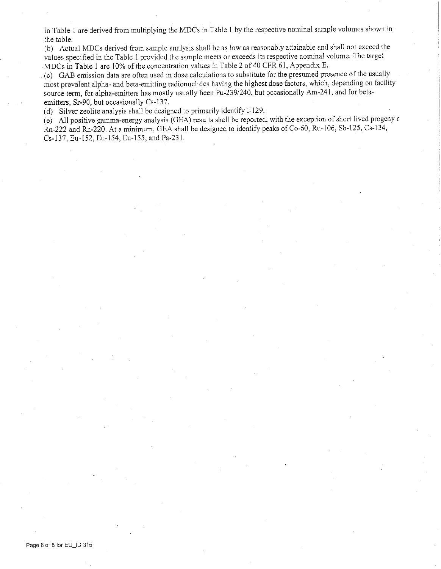in Table 1 are derived from multiplying the MDCs in Table l by the respective nominal sample volumes shown in the table.

(b) Actual MDCs derived from sample analysis shall be as low as reasonably attainable and shall not exceed the values specified in the Table l provided the sample meets or exceeds its respective nominal volume. The target MDCs in Table 1 are 10% of the concentration values in Table 2 of 40 CFR 61, Appendix E.

(c) GAB emission data are often used in dose calculations to substitute for the presumed presence of the usually most prevalent alpha- and beta-emitting radionuclides having the highest dose factors, which, depending on facility source term, for alpha-emitters has mostly usually been Pu-239/240, but occasionally Am-241, and for betaemitters, Sr-90, but occasionally Cs-137.

(d) Silver zeolite analysis shall be designed to primarily identify I-129.

( e) All positive gamma-energy analysis (GEA) results shall be reported, with the exception of short lived progeny c Rn-222 and Rn-220. At a minimum, GEA shall be designed to identify peaks of Co-60, Ru-106, Sb-125, Cs-134, Cs-137, Eu-152, Eu-154, Eu-155, and Pa-231.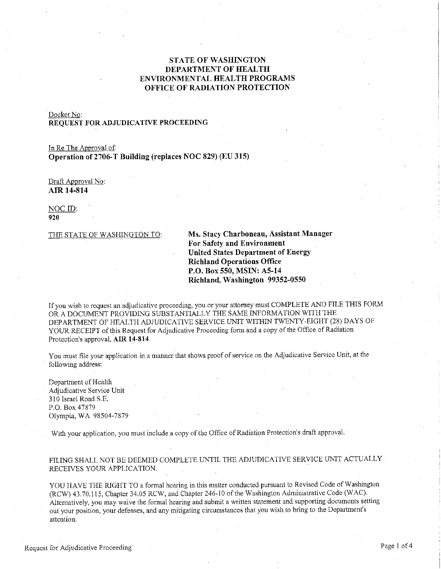# **STATE OF WASHINGTON DEPARTMENT OF HEALTH ENVIRONMENTAL HEALTH PROGRAMS OFFICE OF RADIATION PROTECTION**

### Docket No:

## **REQUEST FOR ADJUDICATIVE PROCEEDING**

In Re The Approval of: **Operation of 2706-T Building (replaces NOC 829) (EU 315)** 

Draft Approval No: **AIR 14-814** 

# NOC ID:

**920** 

THE STATE OF WASHINGTON TO: Ms. Stacy Charboneau, Assistant Manager **For Safety and Environment United States Department of Energy Richland Operations Office P.O. Box 550, MSIN: A5-14 Richland, Washington 99352-0550** 

If you wish to request an adjudicative proceeding, you or your attorney must COMPLETE AND FILE THIS FORM OR A DOCUMENT PROVIDING SUBSTANTIALLY THE SAME INFORMATION WITH THE DEPARTMENT OF HEALTH ADJUDICATIVE SERVICE UNIT WITHIN TWENTY-EIGHT (28) DAYS OF YOUR RECEIPT of this Request for Adjudicative Proceeding form and a copy of the Office of Radiation Protection's approval, **AIR 14-814.** 

You must file your application in a manner that shows proof of service on the Adjudicative Service Unit, at the following address:

Department of Health Adjudicative Service Unit 310 Israel Road S.E. P.O. Box 47879 Olympia, WA 98504-7879

With your application, you must include a copy of the Office of Radiation Protection's draft approval.

# FILING SHALL NOT BE DEEMED COMPLETE UNTIL THE ADJUDICATIVE SERVICE UNIT ACTUALLY RECEIVES YOUR APPLICATION.

YOU HAVE THE RIGHT TO a formal hearing in this matter conducted pursuant to Revised Code of Washington (RCW) 43.70.115, Chapter 34.05 RCW, and Chapter 246-10 of the Washington Administrative Code (WAC). Alternatively, you may waive the formal hearing and submit a written statement and supporting documents setting out your position, your defenses, and any mitigating circumstances that you wish to bring to the Department's attention.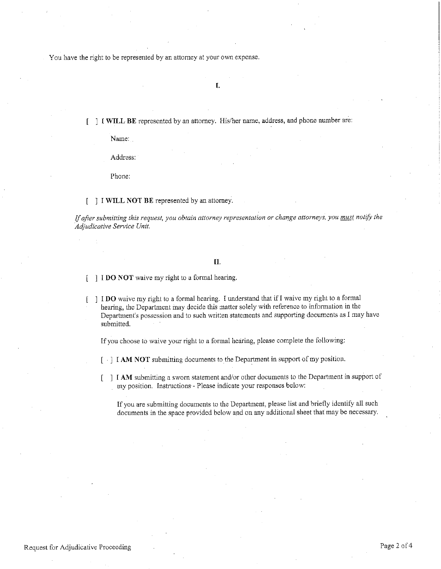You have the right to be represented by an attorney at your own expense.

I **WILL BE** represented by an attorney. His/her name, address, and phone number are:

Name:

Address:

Phone:

### [ J I **WILL NOT BE** represented by an attorney.

If after submitting this request, you obtain attorney representation or change attorneys, you must notify the *Adjudicative Service Unit.* 

## **II.**

I **DO NOT** waive my right to a formal hearing.

I **DO** waive my right to a formal hearing. I understand that if I waive my right to a formal hearing, the Department may decide this matter solely with reference to information in the Department's possession and to such written statements and supporting documents as I may have submitted.

If you choose to waive your right to a formal hearing, please complete the following:

- **I I AM NOT** submitting documents to the Department in support of my position.
- I AM submitting a sworn statement and/or other documents to the Department in support of **my position. Instructions- - Please indicate your responses below:**

If you are submitting documents to the Department, please list and briefly identify all such documents in the space provided below a\_nd on any additional sheet that may be necessary.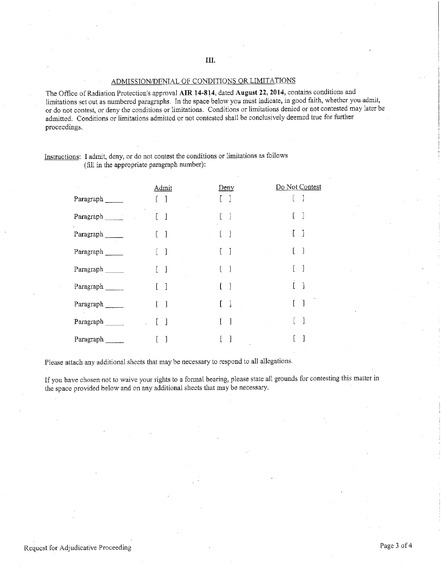**III.** 

### ADMISSION/DENIAL OF CONDITIONS OR LIMITATIONS

The Office of Radiation Protection's approval **AIR 14-814,** dated **August 22, 2014,** contains conditions and limitations set out as numbered paragraphs. In the space below you must indicate, in good faith, whether you admit, **or do not contest, or deny the conditions or limitations. Conditions or limitations denied or not contested may later be**  admitted. Conditions or limitations admitted or not contested shall be conclusively deemed true for further proceedings.

# Instructions: I admit, deny, or do not contest the conditions or limitations as follows (fill in the appropriate paragraph number):

|           | Admit                             | Deny                              | Do Not Contest          |
|-----------|-----------------------------------|-----------------------------------|-------------------------|
| Paragraph | 1                                 |                                   |                         |
| Paragraph | $\begin{bmatrix} 1 \end{bmatrix}$ |                                   |                         |
| Paragraph | $\begin{bmatrix} 1 \end{bmatrix}$ |                                   |                         |
| Paragraph | []                                | $\Box$                            |                         |
| Paragraph | 1                                 | $\begin{bmatrix} 1 \end{bmatrix}$ | $\lceil \cdot \rceil$ . |
| Paragraph |                                   |                                   |                         |
| Paragraph | 1                                 |                                   | $\lceil$                |
| Paragraph | $\overline{\phantom{a}}$          | $\overline{\phantom{a}}$          |                         |
| Paragraph |                                   |                                   |                         |

Please attach any additional sheets that may be necessary to respond to all allegations.

**If you have chosen not to waive your rights to a formal hearing, please state all grounds for contesting this matter in**  the space provided below and on any additional sheets that may be necessary.